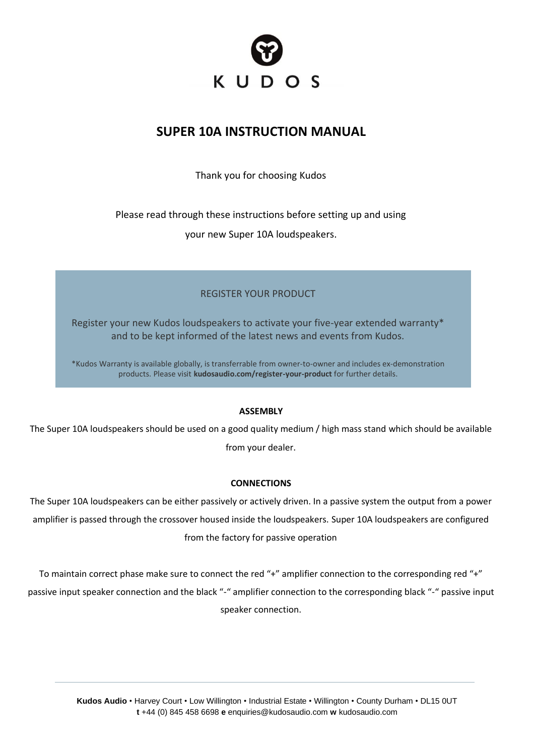

# **SUPER 10A INSTRUCTION MANUAL**

Thank you for choosing Kudos

Please read through these instructions before setting up and using

your new Super 10A loudspeakers.

# REGISTER YOUR PRODUCT

Register your new Kudos loudspeakers to activate your five-year extended warranty\* and to be kept informed of the latest news and events from Kudos.

\*Kudos Warranty is available globally, is transferrable from owner-to-owner and includes ex-demonstration products. Please visit **kudosaudio.com/register-your-product** for further details.

## **ASSEMBLY**

The Super 10A loudspeakers should be used on a good quality medium / high mass stand which should be available from your dealer.

## **CONNECTIONS**

The Super 10A loudspeakers can be either passively or actively driven. In a passive system the output from a power amplifier is passed through the crossover housed inside the loudspeakers. Super 10A loudspeakers are configured from the factory for passive operation

To maintain correct phase make sure to connect the red "+" amplifier connection to the corresponding red "+" passive input speaker connection and the black "-" amplifier connection to the corresponding black "-" passive input speaker connection.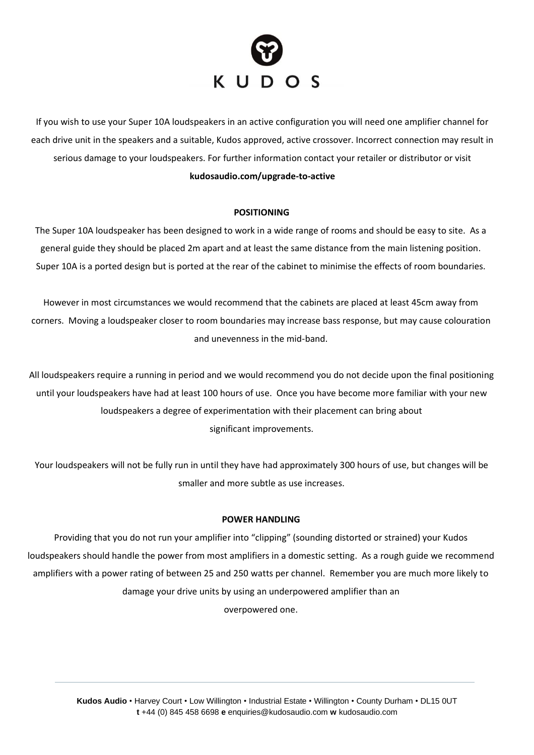

If you wish to use your Super 10A loudspeakers in an active configuration you will need one amplifier channel for each drive unit in the speakers and a suitable, Kudos approved, active crossover. Incorrect connection may result in serious damage to your loudspeakers. For further information contact your retailer or distributor or visit **kudosaudio.com/upgrade-to-active**

#### **POSITIONING**

The Super 10A loudspeaker has been designed to work in a wide range of rooms and should be easy to site. As a general guide they should be placed 2m apart and at least the same distance from the main listening position. Super 10A is a ported design but is ported at the rear of the cabinet to minimise the effects of room boundaries.

However in most circumstances we would recommend that the cabinets are placed at least 45cm away from corners. Moving a loudspeaker closer to room boundaries may increase bass response, but may cause colouration and unevenness in the mid-band.

All loudspeakers require a running in period and we would recommend you do not decide upon the final positioning until your loudspeakers have had at least 100 hours of use. Once you have become more familiar with your new loudspeakers a degree of experimentation with their placement can bring about significant improvements.

Your loudspeakers will not be fully run in until they have had approximately 300 hours of use, but changes will be smaller and more subtle as use increases.

#### **POWER HANDLING**

Providing that you do not run your amplifier into "clipping" (sounding distorted or strained) your Kudos loudspeakers should handle the power from most amplifiers in a domestic setting. As a rough guide we recommend amplifiers with a power rating of between 25 and 250 watts per channel. Remember you are much more likely to damage your drive units by using an underpowered amplifier than an overpowered one.